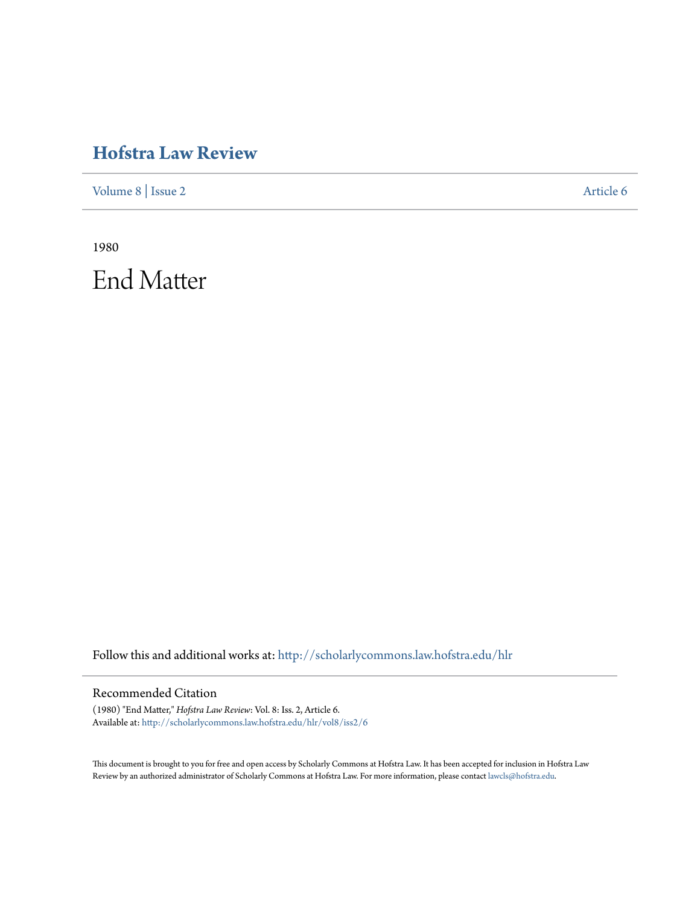## **[Hofstra Law Review](http://scholarlycommons.law.hofstra.edu/hlr?utm_source=scholarlycommons.law.hofstra.edu%2Fhlr%2Fvol8%2Fiss2%2F6&utm_medium=PDF&utm_campaign=PDFCoverPages)**

[Volume 8](http://scholarlycommons.law.hofstra.edu/hlr/vol8?utm_source=scholarlycommons.law.hofstra.edu%2Fhlr%2Fvol8%2Fiss2%2F6&utm_medium=PDF&utm_campaign=PDFCoverPages) | [Issue 2](http://scholarlycommons.law.hofstra.edu/hlr/vol8/iss2?utm_source=scholarlycommons.law.hofstra.edu%2Fhlr%2Fvol8%2Fiss2%2F6&utm_medium=PDF&utm_campaign=PDFCoverPages) [Article 6](http://scholarlycommons.law.hofstra.edu/hlr/vol8/iss2/6?utm_source=scholarlycommons.law.hofstra.edu%2Fhlr%2Fvol8%2Fiss2%2F6&utm_medium=PDF&utm_campaign=PDFCoverPages)

1980 End Matter

Follow this and additional works at: [http://scholarlycommons.law.hofstra.edu/hlr](http://scholarlycommons.law.hofstra.edu/hlr?utm_source=scholarlycommons.law.hofstra.edu%2Fhlr%2Fvol8%2Fiss2%2F6&utm_medium=PDF&utm_campaign=PDFCoverPages)

## Recommended Citation

(1980) "End Matter," *Hofstra Law Review*: Vol. 8: Iss. 2, Article 6. Available at: [http://scholarlycommons.law.hofstra.edu/hlr/vol8/iss2/6](http://scholarlycommons.law.hofstra.edu/hlr/vol8/iss2/6?utm_source=scholarlycommons.law.hofstra.edu%2Fhlr%2Fvol8%2Fiss2%2F6&utm_medium=PDF&utm_campaign=PDFCoverPages)

This document is brought to you for free and open access by Scholarly Commons at Hofstra Law. It has been accepted for inclusion in Hofstra Law Review by an authorized administrator of Scholarly Commons at Hofstra Law. For more information, please contact [lawcls@hofstra.edu](mailto:lawcls@hofstra.edu).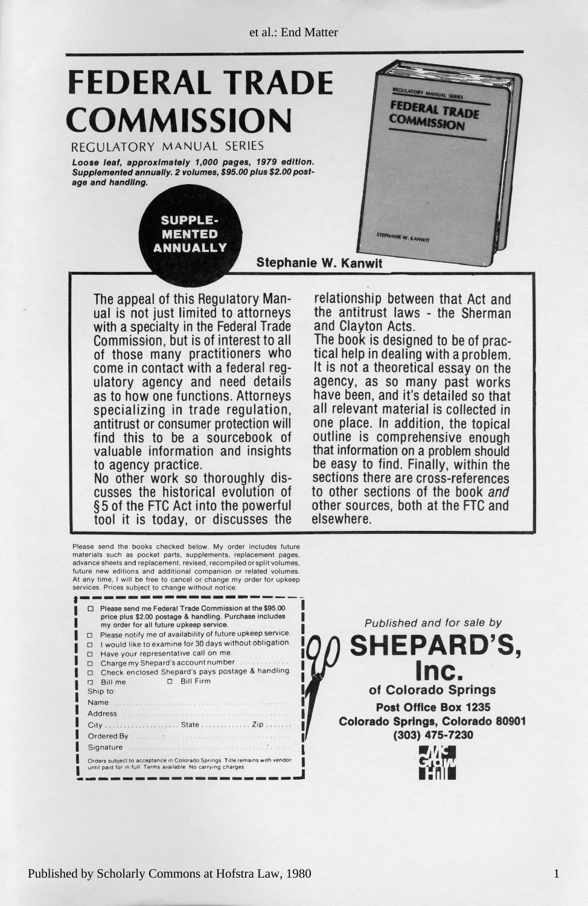et al.: End Matter



The appeal of this Regulatory Manual is not just limited to attorneys with a specialty in the Federal Trade and Clayton Acts. of those many practitioners who tical help in dealing with a problem.<br>come in contact with a federal reg-<br>It is not a theoretical essay on the ulatory agency and need details as to how one functions. Attorneys specializing in trade regulation, antitrust or consumer protection will find this to be a sourcebook of valuable information and insights to agency practice. No other work so thoroughly discusses the historical evolution of §5 of the FTC Act into the powerful tool it is today, or discusses the

the antitrust laws - the Sherman relationship between that Act a

elsewhere other sources, both at the FTC and to other sections of the book and sections there are cross-references be easy to find. Finally, within the that information on a problem should outline is comprehensive enough one place. In addition, the topical all relevant material is collected in have been, and it's detailed so that agency, as so many past works tical help in dealing with a problem. II The book is designed to be of prac-

s attorney o t d limite t jus t no s i l ua eep trad l Federa e that is not the three than it will be a h with the specialt a h with the special term in the special state of the special term in the special state of the special state of the special state of the speci ls,  $\mathbf{e}$ o where y man e thos f or which is the second three three three three three three three three three three three three three three three three three three three three three three three three three three three three three th - reg l federa a h wit t contac n i e com services. Prices subject to change without notice. At any time, I will be free to cancel or change my order for upkeep advance sheets and replacement, revised, recompiled or split volumes, future new editions and additional companion or related volumes. materials such as pocket parts, supplements, replacement pages, Please send the books checked below. My order includes future

| Please send me Federal Trade Commission at the \$95.00<br>price plus \$2.00 postage & handling. Purchase includes<br>my order for all future upkeep service.<br>Please notify me of availability of future upkeep service.<br>ο<br>I would like to examine for 30 days without obligation.<br>□<br>Have your representative call on me.<br>Charge my Shepard's account number<br>$\Box$<br>Check enclosed Shepard's pays postage & handling.<br>□<br>D Bill Firm<br>Bill me<br>⊓ | Published and for sale I<br><b>SHEPARD</b><br>Inc. |
|----------------------------------------------------------------------------------------------------------------------------------------------------------------------------------------------------------------------------------------------------------------------------------------------------------------------------------------------------------------------------------------------------------------------------------------------------------------------------------|----------------------------------------------------|
| Ship to:                                                                                                                                                                                                                                                                                                                                                                                                                                                                         | of Colorado Springs                                |
| Name                                                                                                                                                                                                                                                                                                                                                                                                                                                                             | <b>Post Office Box 1235</b>                        |
|                                                                                                                                                                                                                                                                                                                                                                                                                                                                                  |                                                    |
|                                                                                                                                                                                                                                                                                                                                                                                                                                                                                  | <b>Colorado Springs, Colorado</b>                  |
|                                                                                                                                                                                                                                                                                                                                                                                                                                                                                  | (303) 475-7230                                     |
|                                                                                                                                                                                                                                                                                                                                                                                                                                                                                  |                                                    |
| Orders subject to acceptance in Colorado Springs. Title remains with vendor<br>until paid for in full Terms available. No carrying charges.                                                                                                                                                                                                                                                                                                                                      |                                                    |
|                                                                                                                                                                                                                                                                                                                                                                                                                                                                                  |                                                    |

**SHEPARD'S. D MENTE**  $o$ **f** Colorado Springs **Post Office Box 1235 Colorado Springs, Colorado 80901 (303) 475-7230 edition. 1979 pages, 1,000 approximately leaf, e Loos**

Published and for sale by

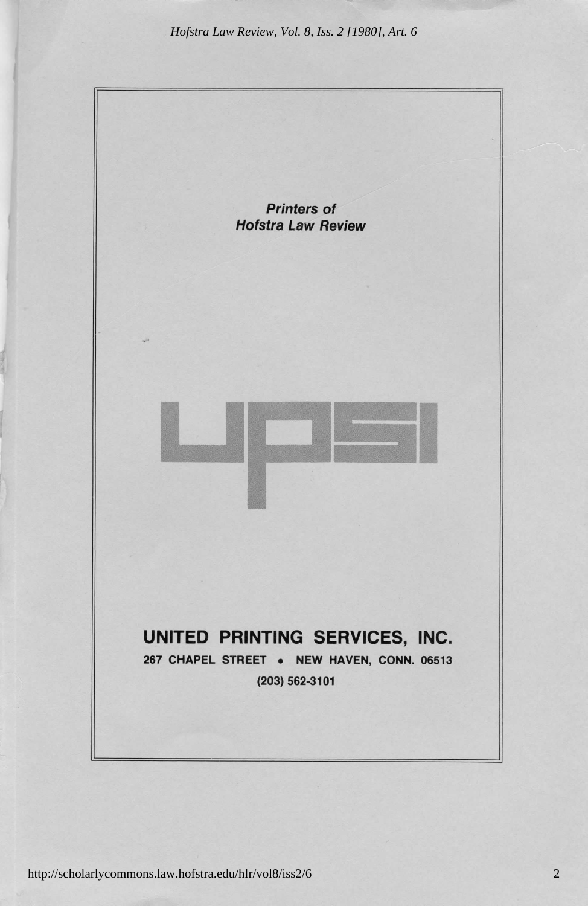*Hofstra Law Review, Vol. 8, Iss. 2 [1980], Art. 6*